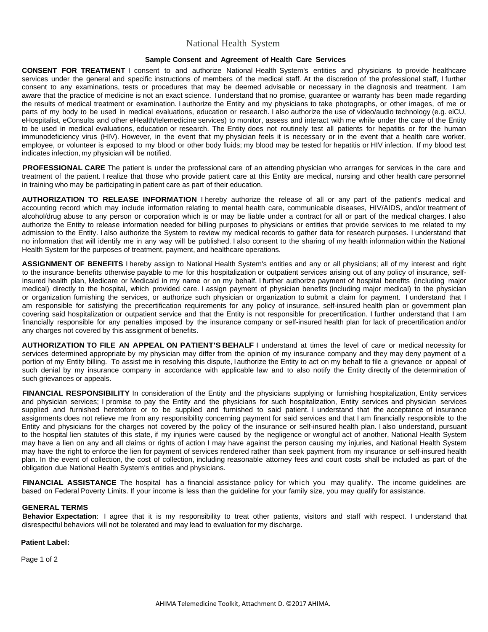## National Health System

### **Sample Consent and Agreement of Health Care Services**

**CONSENT FOR TREATMENT** I consent to and authorize National Health System's entities and physicians to provide healthcare services under the general and specific instructions of members of the medical staff. At the discretion of the professional staff, I further consent to any examinations, tests or procedures that may be deemed advisable or necessary in the diagnosis and treatment. I am aware that the practice of medicine is not an exact science. Iunderstand that no promise, guarantee or warranty has been made regarding the results of medical treatment or examination. I authorize the Entity and my physicians to take photographs, or other images, of me or parts of my body to be used in medical evaluations, education or research. I also authorize the use of video/audio technology (e.g. eiCU, eHospitalist, eConsults and other eHealth/telemedicine services) to monitor, assess and interact with me while under the care of the Entity to be used in medical evaluations, education or research. The Entity does not routinely test all patients for hepatitis or for the human immunodeficiency virus (HIV). However, in the event that my physician feels it is necessary or in the event that a health care worker, employee, or volunteer is exposed to my blood or other body fluids; my blood may be tested for hepatitis or HIV infection. If my blood test indicates infection, my physician will be notified.

**PROFESSIONAL CARE** The patient is under the professional care of an attending physician who arranges for services in the care and treatment of the patient. I realize that those who provide patient care at this Entity are medical, nursing and other health care personnel in training who may be participating in patient care as part of their education.

**AUTHORIZATION TO RELEASE INFORMATION** I hereby authorize the release of all or any part of the patient's medical and accounting record which may include information relating to mental health care, communicable diseases, HIV/AIDS, and/or treatment of alcohol/drug abuse to any person or corporation which is or may be liable under a contract for all or part of the medical charges. I also authorize the Entity to release information needed for billing purposes to physicians or entities that provide services to me related to my admission to the Entity. I also authorize the System to review my medical records to gather data for research purposes. I understand that no information that will identify me in any way will be published. I also consent to the sharing of my health information within the National Health System for the purposes of treatment, payment, and healthcare operations.

**ASSIGNMENT OF BENEFITS** I hereby assign to National Health System's entities and any or all physicians; all of my interest and right to the insurance benefits otherwise payable to me for this hospitalization or outpatient services arising out of any policy of insurance, selfinsured health plan, Medicare or Medicaid in my name or on my behalf. I further authorize payment of hospital benefits (including major medical) directly to the hospital, which provided care. I assign payment of physician benefits (including major medical) to the physician or organization furnishing the services, or authorize such physician or organization to submit a claim for payment. I understand that I am responsible for satisfying the precertification requirements for any policy of insurance, self-insured health plan or government plan covering said hospitalization or outpatient service and that the Entity is not responsible for precertification. I further understand that I am financially responsible for any penalties imposed by the insurance company or self-insured health plan for lack of precertification and/or any charges not covered by this assignment of benefits.

**AUTHORIZATION TO FILE AN APPEAL ON PATIENT'S BEHALF** I understand at times the level of care or medical necessity for services determined appropriate by my physician may differ from the opinion of my insurance company and they may deny payment of a portion of my Entity billing. To assist me in resolving this dispute, Iauthorize the Entity to act on my behalf to file a grievance or appeal of such denial by my insurance company in accordance with applicable law and to also notify the Entity directly of the determination of such grievances or appeals.

**FINANCIAL RESPONSIBILITY** In consideration of the Entity and the physicians supplying or furnishing hospitalization, Entity services and physician services; I promise to pay the Entity and the physicians for such hospitalization, Entity services and physician services supplied and furnished heretofore or to be supplied and furnished to said patient. I understand that the acceptance of insurance assignments does not relieve me from any responsibility concerning payment for said services and that I am financially responsible to the Entity and physicians for the charges not covered by the policy of the insurance or self-insured health plan. I also understand, pursuant to the hospital lien statutes of this state, if my injuries were caused by the negligence or wrongful act of another, National Health System may have a lien on any and all claims or rights of action I may have against the person causing my injuries, and National Health System may have the right to enforce the lien for payment of services rendered rather than seek payment from my insurance or self-insured health plan. In the event of collection, the cost of collection, including reasonable attorney fees and court costs shall be included as part of the obligation due National Health System's entities and physicians.

**FINANCIAL ASSISTANCE** The hospital has a financial assistance policy for which you may qualify. The income guidelines are based on Federal Poverty Limits. If your income is less than the guideline for your family size, you may qualify for assistance.

#### **GENERAL TERMS**

**Behavior Expectation**: I agree that it is my responsibility to treat other patients, visitors and staff with respect. I understand that disrespectful behaviors will not be tolerated and may lead to evaluation for my discharge.

## **Patient Label:**

Page 1 of 2